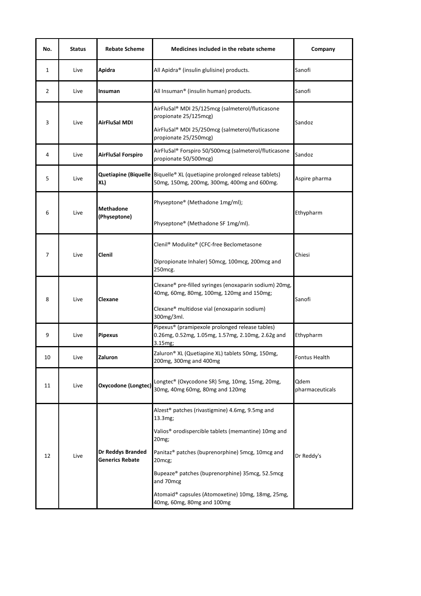| No.            | <b>Status</b> | <b>Rebate Scheme</b>                               | Medicines included in the rebate scheme                                                                                                                                                                                                                                                                                                                             | Company                 |
|----------------|---------------|----------------------------------------------------|---------------------------------------------------------------------------------------------------------------------------------------------------------------------------------------------------------------------------------------------------------------------------------------------------------------------------------------------------------------------|-------------------------|
| 1              | Live          | Apidra                                             | All Apidra® (insulin glulisine) products.                                                                                                                                                                                                                                                                                                                           | Sanofi                  |
| $\overline{2}$ | Live          | Insuman                                            | All Insuman <sup>®</sup> (insulin human) products.                                                                                                                                                                                                                                                                                                                  | Sanofi                  |
| 3              | Live          | AirFluSal MDI                                      | AirFluSal® MDI 25/125mcg (salmeterol/fluticasone<br>propionate 25/125mcg)<br>AirFluSal® MDI 25/250mcg (salmeterol/fluticasone<br>propionate 25/250mcg)                                                                                                                                                                                                              | Sandoz                  |
| 4              | Live          | <b>AirFluSal Forspiro</b>                          | AirFluSal® Forspiro 50/500mcg (salmeterol/fluticasone<br>propionate 50/500mcg)                                                                                                                                                                                                                                                                                      | Sandoz                  |
| 5              | Live          | XL)                                                | Quetiapine (Biquelle Biquelle® XL (quetiapine prolonged release tablets)<br>50mg, 150mg, 200mg, 300mg, 400mg and 600mg.                                                                                                                                                                                                                                             | Aspire pharma           |
| 6              | Live          | <b>Methadone</b><br>(Physeptone)                   | Physeptone® (Methadone 1mg/ml);<br>Physeptone® (Methadone SF 1mg/ml).                                                                                                                                                                                                                                                                                               | Ethypharm               |
| 7              | Live          | Clenil                                             | Clenil® Modulite® (CFC-free Beclometasone<br>Dipropionate Inhaler) 50mcg, 100mcg, 200mcg and<br>250mcg.                                                                                                                                                                                                                                                             | Chiesi                  |
| 8              | Live          | Clexane                                            | Clexane® pre-filled syringes (enoxaparin sodium) 20mg,<br>40mg, 60mg, 80mg, 100mg, 120mg and 150mg;<br>Clexane® multidose vial (enoxaparin sodium)<br>300mg/3ml.                                                                                                                                                                                                    | Sanofi                  |
| 9              | Live          | <b>Pipexus</b>                                     | Pipexus® (pramipexole prolonged release tables)<br>0.26mg, 0.52mg, 1.05mg, 1.57mg, 2.10mg, 2.62g and<br>3.15mg;                                                                                                                                                                                                                                                     | Ethypharm               |
| 10             | Live          | Zaluron                                            | Zaluron® XL (Quetiapine XL) tablets 50mg, 150mg,<br>200mg, 300mg and 400mg                                                                                                                                                                                                                                                                                          | <b>Fontus Health</b>    |
| 11             | Live          | Oxycodone (Longtec)                                | Longtec® (Oxycodone SR) 5mg, 10mg, 15mg, 20mg,<br>30mg, 40mg 60mg, 80mg and 120mg                                                                                                                                                                                                                                                                                   | Qdem<br>pharmaceuticals |
| 12             | Live          | <b>Dr Reddys Branded</b><br><b>Generics Rebate</b> | Alzest <sup>®</sup> patches (rivastigmine) 4.6mg, 9.5mg and<br>13.3mg;<br>Valios <sup>®</sup> orodispercible tablets (memantine) 10mg and<br>20mg;<br>Panitaz® patches (buprenorphine) 5mcg, 10mcg and<br>20mcg;<br>Bupeaze® patches (buprenorphine) 35mcg, 52.5mcg<br>and 70mcg<br>Atomaid® capsules (Atomoxetine) 10mg, 18mg, 25mg,<br>40mg, 60mg, 80mg and 100mg | Dr Reddy's              |